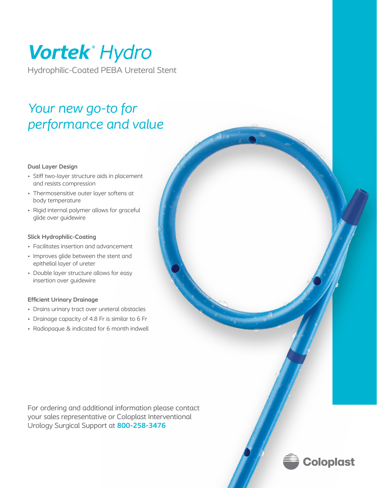# *Vortek ® Hydro*

Hydrophilic-Coated PEBA Ureteral Stent

## *Your new go-to for performance and value*

#### **Dual Layer Design**

- Stiff two-layer structure aids in placement and resists compression
- Thermosensitive outer layer softens at body temperature
- Rigid internal polymer allows for graceful glide over guidewire

### **Slick Hydrophilic-Coating**

- Facilitates insertion and advancement
- Improves glide between the stent and epithelial layer of ureter
- Double layer structure allows for easy insertion over guidewire

#### **Efficient Urinary Drainage**

- Drains urinary tract over ureteral obstacles
- Drainage capacity of 4.8 Fr is similar to 6 Fr
- Radiopaque & indicated for 6 month indwell

For ordering and additional information please contact your sales representative or Coloplast Interventional Urology Surgical Support at **800-258-3476**